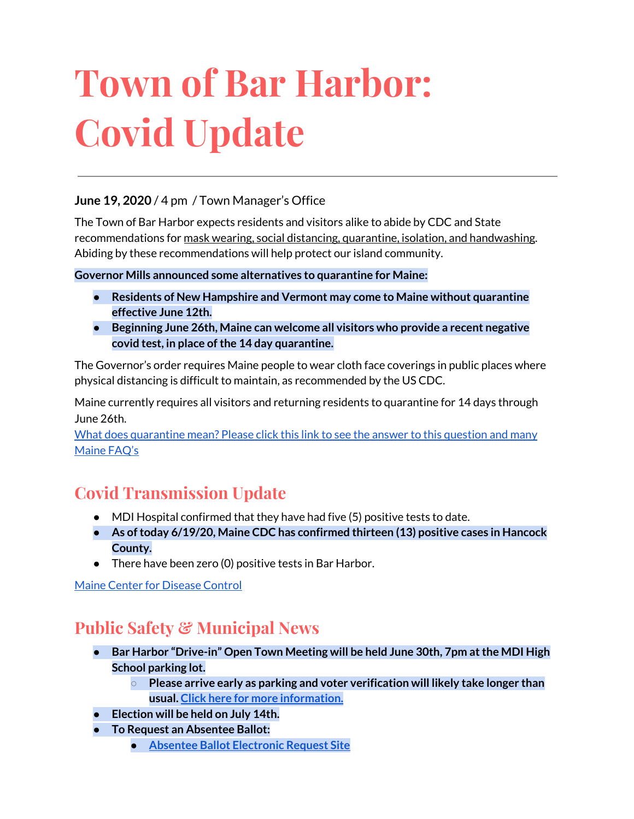# **Town of Bar Harbor: Covid Update**

#### **June 19, 2020** / 4 pm / Town Manager's Office

The Town of Bar Harbor expects residents and visitors alike to abide by CDC and State recommendations for mask wearing, social distancing, quarantine, isolation, and handwashing. Abiding by these recommendations will help protect our island community.

#### **Governor Mills announced some alternatives to quarantine for Maine:**

- **● Residents of New Hampshire and Vermont may come to Maine without quarantine effective June 12th.**
- **● Beginning June 26th, Maine can welcome all visitors who provide a recent negative covid test, in place ofthe 14 day quarantine.**

The Governor's order requires Maine people to wear cloth face coverings in public places where physical distancing is difficult to maintain, as recommended by the US CDC.

Maine currently requires all visitors and returning residents to quarantine for 14 days through June 26th.

What does [quarantine](https://www.maine.gov/dhhs/mecdc/infectious-disease/epi/airborne/coronavirus.shtml#faq) mean? Please click this link to see the answer to this question and many [Maine](https://www.maine.gov/dhhs/mecdc/infectious-disease/epi/airborne/coronavirus.shtml#faq) FAQ's

# **Covid Transmission Update**

- MDI Hospital confirmed that they have had five (5) positive tests to date.
- **● As oftoday 6/19/20, Maine CDC has confirmed thirteen (13) positive cases in Hancock County.**
- There have been zero (0) positive tests in Bar Harbor.

Maine Center for [Disease](https://www.maine.gov/dhhs/mecdc/infectious-disease/epi/airborne/coronavirus.shtml) Control

# **Public Safety & Municipal News**

- **● Bar Harbor "Drive-in" Open Town Meeting will be held June 30th, 7pm atthe MDI High School parking lot.**
	- **○ Please arrive early as parking and voter verification will likely take longer than usual. Click here for more [information.](http://www.barharbormaine.gov/CivicAlerts.aspx?AID=679)**
- **● Election will be held on July 14th.**
- **● To Request an Absentee Ballot:**
	- **● Absentee Ballot [Electronic](https://www.maine.gov/cgi-bin/online/AbsenteeBallot/index.pl) Request Site**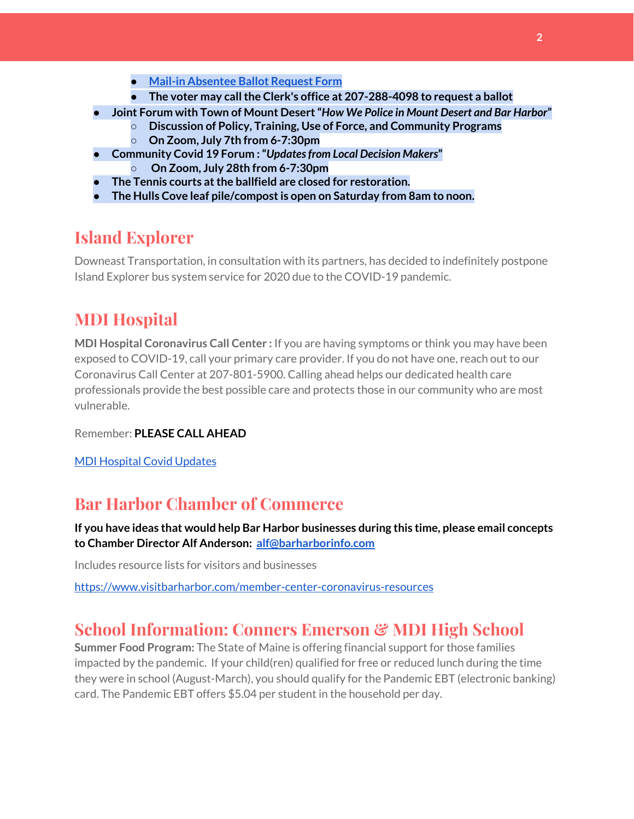- **● Mail-in [Absentee](http://www.barharbormaine.gov/DocumentCenter/View/4119/Absentee-Ballot-Request-Form-20200714) Ballot Request Form**
- **● The voter may callthe Clerk's office at 207-288-4098 to request a ballot**
- **● Joint Forum with Town of Mount Desert"***How We Police in Mount Desert and Bar Harbor***"**
	- **○ Discussion of Policy, Training, Use of Force, and Community Programs**
	- **○ On Zoom, July 7th from 6-7:30pm**
- **● Community Covid 19 Forum :"***Updatesfrom Local Decision Makers***"**
	- **○ On Zoom, July 28th from 6-7:30pm**
- **● The Tennis courts atthe ballfield are closed for restoration.**
- **● The Hulls Cove leaf pile/compostis open on Saturday from 8am to noon.**

### **Island Explorer**

Downeast Transportation, in consultation with its partners, has decided to indefinitely postpone Island Explorer bus system service for 2020 due to the COVID-19 pandemic.

## **MDI Hospital**

**MDI Hospital Coronavirus Call Center :** If you are having symptoms or think you may have been exposed to COVID-19, call your primary care provider. If you do not have one, reach out to our Coronavirus Call Center at 207-801-5900. Calling ahead helps our dedicated health care professionals provide the best possible care and protects those in our community who are most vulnerable.

Remember: **PLEASE CALL AHEAD**

MDI [Hospital](https://www.mdihospital.org/covid-19/?fbclid=IwAR2Q31t4a6H1pxDfUeqSzFcmp5UbRlSwe93i58zEkHstfexp5EgoHB5cxGU) Covid Updates

### **Bar Harbor Chamber of Commerce**

**If you have ideas that would help Bar Harbor businesses during this time, please email concepts to Chamber Director Alf Anderson: [alf@barharborinfo.com](mailto:alf@barharborinfo.com)**

Includes resource lists for visitors and businesses

<https://www.visitbarharbor.com/member-center-coronavirus-resources>

### **School Information: Conners Emerson & MDI High School**

**Summer Food Program:** The State of Maine is offering financial support for those families impacted by the pandemic. If your child(ren) qualified for free or reduced lunch during the time they were in school (August-March), you should qualify for the Pandemic EBT (electronic banking) card. The Pandemic EBT offers \$5.04 per student in the household per day.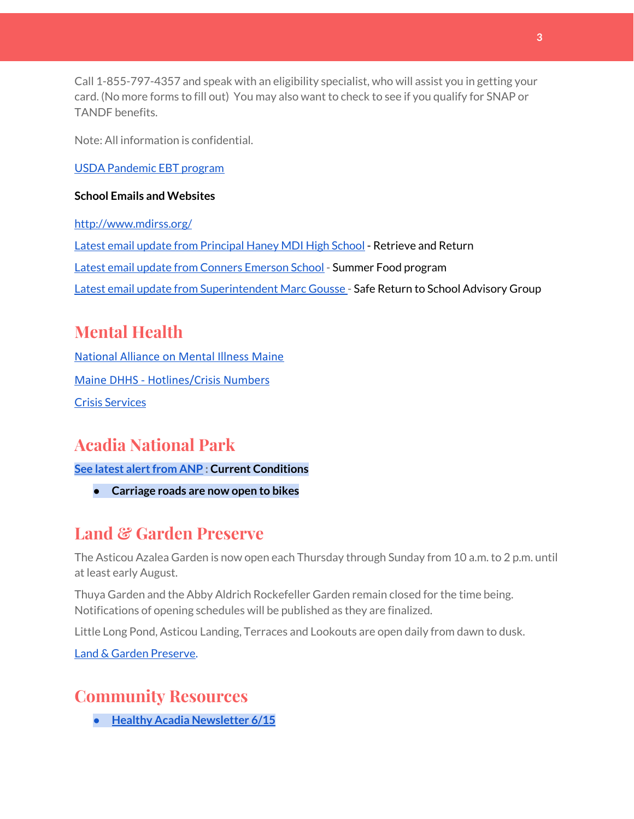Call 1-855-797-4357 and speak with an eligibility specialist, who will assist you in getting your card. (No more forms to fill out) You may also want to check to see if you qualify for SNAP or TANDF benefits.

Note: All information is confidential.

USDA [Pandemic](http://track.spe.schoolmessenger.com/f/a/j6GQx4nFl3Rld4Q68tYCuA~~/AAAAAQA~/RgRgu5_JP0SlaHR0cHM6Ly9tYWlsLmdvb2dsZS5jb20vbWFpbC91LzAvP3RhYj1jbSNzZWFyY2gvZnJvbSUzQStiZWVzbGV5L1doY3RLSlZyQ0NUS1JmUldCTFdkUVpGZ2pUVlhNdkRwUVpIa2NoRkJCc3NGcHJxZEtnWFF3S05Tamt3R1RxTFpaS21wTkRHP3Byb2plY3Rvcj0xJm1lc3NhZ2VQYXJ0SWQ9MC4xVwdzY2hvb2xtQgoARkls2l72Ls-jUhhiYXJoYXJib3JqZXdlbEBnbWFpbC5jb21YBAAAAAE~) EBT program

#### **School Emails and Websites**

<http://www.mdirss.org/> Latest email update from [Principal](https://docs.google.com/document/d/1OKDsYNtOgV0FI9xAcXwQvenOKLV0S2vBg1o5jtu5CrE/edit?usp=sharing) Haney MDI High School - Retrieve and Return Latest email update from Conners [Emerson](https://docs.google.com/document/d/1v3pgkG6Q-9S3gisuUIj4etPVDwgBKl4P00JBkvZr-kk/edit?usp=sharing) School - Summer Food program Latest email update from [Superintendent](https://docs.google.com/document/d/1fzeCbc8gpTSKmUaDoQH1Avx5PVl-h0reFphXrT1eUNA/edit?usp=sharing) Marc Gousse - Safe Return to School Advisory Group

# **Mental Health**

[National Alliance on Mental Illness Maine](https://www.namimaine.org/) [Maine DHHS - Hotlines/Crisis Numbers](https://www.maine.gov/dhhs/hotlines.shtml) Crisis [Services](https://www.sweetser.org/programs-services/services-for-adults/crisis-services/)

# **Acadia National Park**

**See latest [alertfrom](https://www.nps.gov/acad/planyourvisit/conditions.htm) ANP : Current Conditions**

**● Carriage roads are now open to bikes**

# **Land & Garden Preserve**

The Asticou Azalea Garden is now open each Thursday through Sunday from 10 a.m. to 2 p.m. until at least early August.

Thuya Garden and the Abby Aldrich Rockefeller Garden remain closed for the time being. Notifications of opening schedules will be published as they are finalized.

Little Long Pond, Asticou Landing, Terraces and Lookouts are open daily from dawn to dusk.

Land & Garden [Preserve.](http://r20.rs6.net/tn.jsp?f=001c2c44O_Y4Bmt5GaCvu5yAYkz89M8Lwr9w3wPmKga-jL0VkXmrA_iCBnJWeKd-r-c_wiOF7jNYC-QzXJMviI1ynfM6TwSp8c5otfuaSIRTDcq5nn2rk6dJCDjoN3eBqPHJKFYoFyk9hM2S6_Umc9OISkK5B4CYWoH5SoIKNOTrvM=&c=hkvlfXnwmFjdodNWvqArIvDg3SgMq59MugFS-G4pB0EsTcKrtCXmmw==&ch=dosMVM0pVLoaympYuEEiXtIerW5cx-__Cn3S8zZpZ16TXMeGogAN8g==)

## **Community Resources**

**● Healthy Acadia [Newsletter](https://mailchi.mp/healthyacadia.org/june15_2020) 6/15**